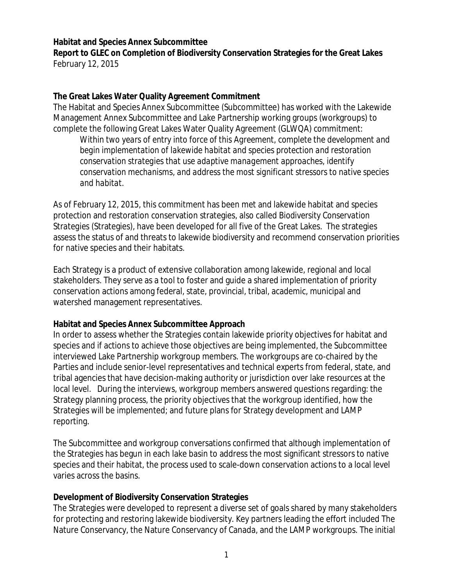#### **Habitat and Species Annex Subcommittee**

**Report to GLEC on Completion of Biodiversity Conservation Strategies for the Great Lakes** February 12, 2015

#### **The Great Lakes Water Quality Agreement Commitment**

The Habitat and Species Annex Subcommittee (Subcommittee) has worked with the Lakewide Management Annex Subcommittee and Lake Partnership working groups (workgroups) to complete the following Great Lakes Water Quality Agreement (GLWQA) commitment:

*Within two years of entry into force of this Agreement, complete the development and begin implementation of lakewide habitat and species protection and restoration conservation strategies that use adaptive management approaches, identify conservation mechanisms, and address the most significant stressors to native species and habitat.*

As of February 12, 2015, this commitment has been met and lakewide habitat and species protection and restoration conservation strategies, also called *Biodiversity Conservation Strategies* (Strategies), have been developed for all five of the Great Lakes. The strategies assess the status of and threats to lakewide biodiversity and recommend conservation priorities for native species and their habitats.

Each Strategy is a product of extensive collaboration among lakewide, regional and local stakeholders. They serve as a tool to foster and guide a shared implementation of priority conservation actions among federal, state, provincial, tribal, academic, municipal and watershed management representatives.

## **Habitat and Species Annex Subcommittee Approach**

In order to assess whether the Strategies contain lakewide priority objectives for habitat and species and if actions to achieve those objectives are being implemented, the Subcommittee interviewed Lake Partnership workgroup members. The workgroups are co-chaired by the Parties and include senior-level representatives and technical experts from federal, state, and tribal agencies that have decision-making authority or jurisdiction over lake resources at the local level. During the interviews, workgroup members answered questions regarding: the Strategy planning process, the priority objectives that the workgroup identified, how the Strategies will be implemented; and future plans for Strategy development and LAMP reporting.

The Subcommittee and workgroup conversations confirmed that although implementation of the Strategies has begun in each lake basin to address the most significant stressors to native species and their habitat, the process used to scale-down conservation actions to a local level varies across the basins.

## **Development of Biodiversity Conservation Strategies**

The Strategies were developed to represent a diverse set of goals shared by many stakeholders for protecting and restoring lakewide biodiversity. Key partners leading the effort included The Nature Conservancy, the Nature Conservancy of Canada, and the LAMP workgroups. The initial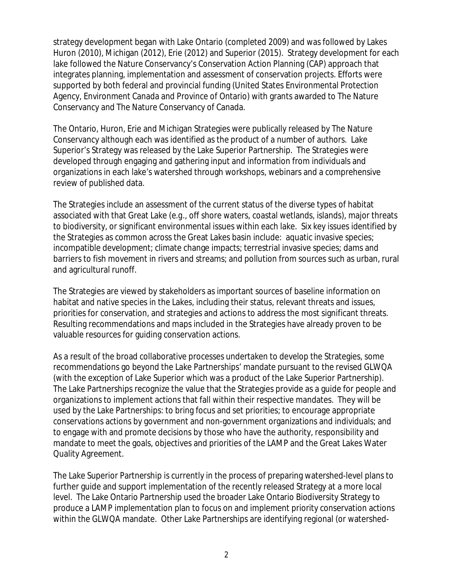strategy development began with Lake Ontario (completed 2009) and was followed by Lakes Huron (2010), Michigan (2012), Erie (2012) and Superior (2015). Strategy development for each lake followed the Nature Conservancy's Conservation Action Planning (CAP) approach that integrates planning, implementation and assessment of conservation projects. Efforts were supported by both federal and provincial funding (United States Environmental Protection Agency, Environment Canada and Province of Ontario) with grants awarded to The Nature Conservancy and The Nature Conservancy of Canada.

The Ontario, Huron, Erie and Michigan Strategies were publically released by The Nature Conservancy although each was identified as the product of a number of authors. Lake Superior's Strategy was released by the Lake Superior Partnership. The Strategies were developed through engaging and gathering input and information from individuals and organizations in each lake's watershed through workshops, webinars and a comprehensive review of published data.

The Strategies include an assessment of the current status of the diverse types of habitat associated with that Great Lake (*e.g*., off shore waters, coastal wetlands, islands), major threats to biodiversity, or significant environmental issues within each lake. Six key issues identified by the Strategies as common across the Great Lakes basin include: aquatic invasive species; incompatible development; climate change impacts; terrestrial invasive species; dams and barriers to fish movement in rivers and streams; and pollution from sources such as urban, rural and agricultural runoff.

The Strategies are viewed by stakeholders as important sources of baseline information on habitat and native species in the Lakes, including their status, relevant threats and issues, priorities for conservation, and strategies and actions to address the most significant threats. Resulting recommendations and maps included in the Strategies have already proven to be valuable resources for guiding conservation actions.

As a result of the broad collaborative processes undertaken to develop the Strategies, some recommendations go beyond the Lake Partnerships' mandate pursuant to the revised GLWQA (with the exception of Lake Superior which was a product of the Lake Superior Partnership). The Lake Partnerships recognize the value that the Strategies provide as a guide for people and organizations to implement actions that fall within their respective mandates. They will be used by the Lake Partnerships: to bring focus and set priorities; to encourage appropriate conservations actions by government and non-government organizations and individuals; and to engage with and promote decisions by those who have the authority, responsibility and mandate to meet the goals, objectives and priorities of the LAMP and the Great Lakes Water Quality Agreement.

The Lake Superior Partnership is currently in the process of preparing watershed-level plans to further guide and support implementation of the recently released Strategy at a more local level. The Lake Ontario Partnership used the broader Lake Ontario Biodiversity Strategy to produce a LAMP implementation plan to focus on and implement priority conservation actions within the GLWQA mandate. Other Lake Partnerships are identifying regional (or watershed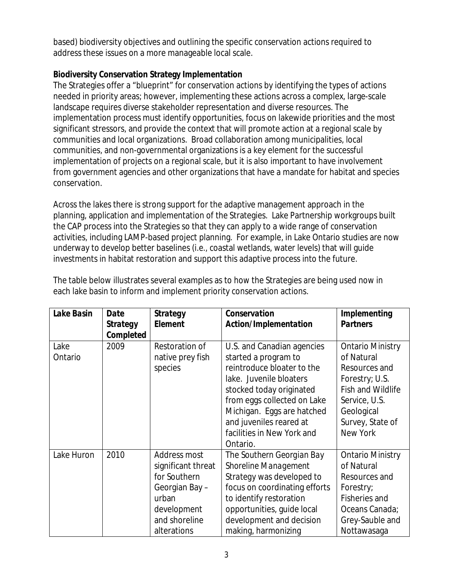based) biodiversity objectives and outlining the specific conservation actions required to address these issues on a more manageable local scale.

# **Biodiversity Conservation Strategy Implementation**

The Strategies offer a "blueprint" for conservation actions by identifying the types of actions needed in priority areas; however, implementing these actions across a complex, large-scale landscape requires diverse stakeholder representation and diverse resources. The implementation process must identify opportunities, focus on lakewide priorities and the most significant stressors, and provide the context that will promote action at a regional scale by communities and local organizations. Broad collaboration among municipalities, local communities, and non-governmental organizations is a key element for the successful implementation of projects on a regional scale, but it is also important to have involvement from government agencies and other organizations that have a mandate for habitat and species conservation.

Across the lakes there is strong support for the adaptive management approach in the planning, application and implementation of the Strategies. Lake Partnership workgroups built the CAP process into the Strategies so that they can apply to a wide range of conservation activities, including LAMP-based project planning. For example, in Lake Ontario studies are now underway to develop better baselines (*i.e.,* coastal wetlands, water levels) that will guide investments in habitat restoration and support this adaptive process into the future.

| Lake Basin | Date<br><b>Strategy</b> | <b>Strategy</b><br>Element | Conservation<br>Action/Implementation | Implementing<br><b>Partners</b> |
|------------|-------------------------|----------------------------|---------------------------------------|---------------------------------|
| Lake       | Completed<br>2009       | Restoration of             | U.S. and Canadian agencies            | <b>Ontario Ministry</b>         |
| Ontario    |                         | native prey fish           | started a program to                  | of Natural                      |
|            |                         | species                    | reintroduce bloater to the            | Resources and                   |
|            |                         |                            | lake. Juvenile bloaters               | Forestry; U.S.                  |
|            |                         |                            | stocked today originated              | <b>Fish and Wildlife</b>        |
|            |                         |                            | from eggs collected on Lake           | Service, U.S.                   |
|            |                         |                            | Michigan. Eggs are hatched            | Geological                      |
|            |                         |                            | and juveniles reared at               | Survey, State of                |
|            |                         |                            | facilities in New York and            | New York                        |
|            |                         |                            | Ontario.                              |                                 |
| Lake Huron | 2010                    | Address most               | The Southern Georgian Bay             | <b>Ontario Ministry</b>         |
|            |                         | significant threat         | Shoreline Management                  | of Natural                      |
|            |                         | for Southern               | Strategy was developed to             | Resources and                   |
|            |                         | Georgian Bay -             | focus on coordinating efforts         | Forestry;                       |
|            |                         | urban                      | to identify restoration               | <b>Fisheries and</b>            |
|            |                         | development                | opportunities, guide local            | Oceans Canada;                  |
|            |                         | and shoreline              | development and decision              | Grey-Sauble and                 |
|            |                         | alterations                | making, harmonizing                   | Nottawasaga                     |

The table below illustrates several examples as to how the Strategies are being used now in each lake basin to inform and implement priority conservation actions.